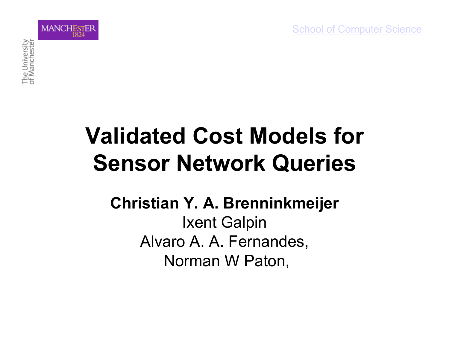

#### **Validated Cost Models for Sensor Network Queries**

#### **Christian Y. A. Brenninkmeijer**  Ixent Galpin Alvaro A. A. Fernandes, Norman W Paton,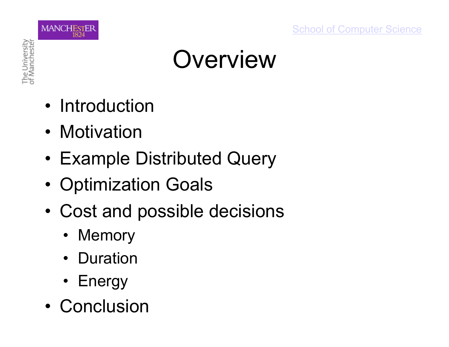

#### **Overview**

- Introduction
- Motivation
- Example Distributed Query
- Optimization Goals
- Cost and possible decisions
	- Memory
	- Duration
	- Energy
- Conclusion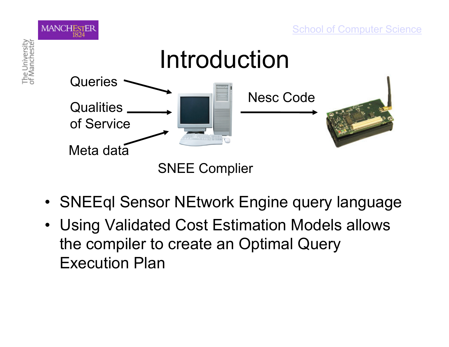



SNEE Complier

- SNEEql Sensor NEtwork Engine query language
- Using Validated Cost Estimation Models allows the compiler to create an Optimal Query Execution Plan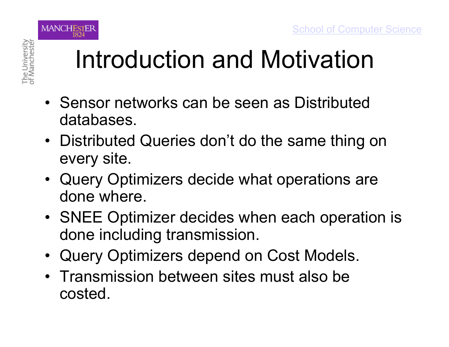

#### Introduction and Motivation

- Sensor networks can be seen as Distributed databases.
- Distributed Queries don't do the same thing on every site.
- Query Optimizers decide what operations are done where.
- SNEE Optimizer decides when each operation is done including transmission.
- Query Optimizers depend on Cost Models.
- Transmission between sites must also be costed.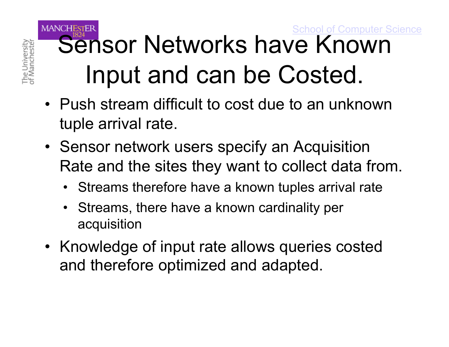#### **MANCHESTER** School of Computer Science Sensor Networks have Known Input and can be Costed.

• Push stream difficult to cost due to an unknown tuple arrival rate.

The University<br>of Manchester

- Sensor network users specify an Acquisition Rate and the sites they want to collect data from.
	- Streams therefore have a known tuples arrival rate
	- Streams, there have a known cardinality per acquisition
- Knowledge of input rate allows queries costed and therefore optimized and adapted.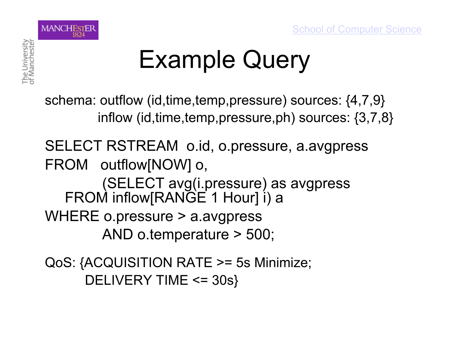

## Example Query

schema: outflow (id,time,temp,pressure) sources: {4,7,9} inflow (id,time,temp,pressure,ph) sources: {3,7,8}

SELECT RSTREAM o.id, o.pressure, a.avgpress FROM outflow[NOW] o, (SELECT avg(i.pressure) as avgpress FROM inflow[RANGE 1 Hour] i) a WHERE o.pressure > a.avgpress AND o.temperature > 500;

QoS: {ACQUISITION RATE >= 5s Minimize; DELIVERY TIME <= 30s}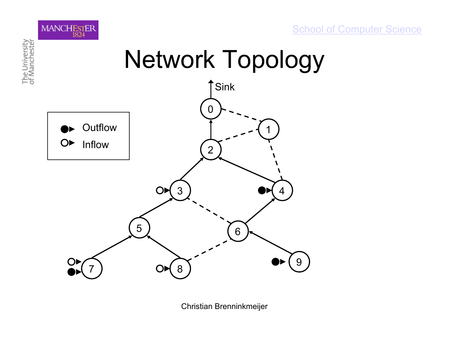



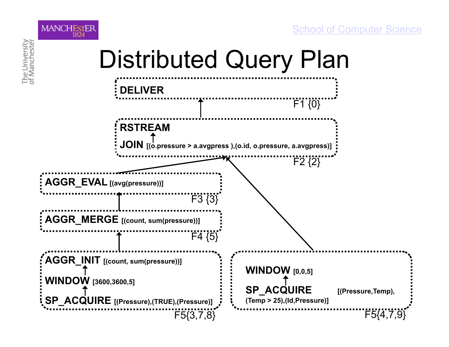



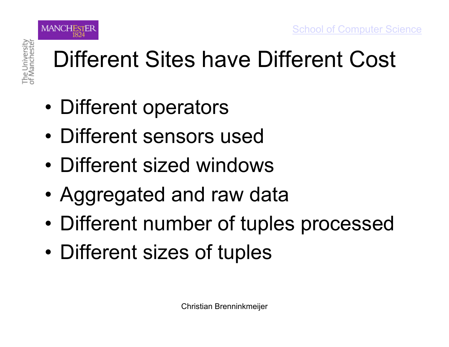

**MANCHESTER** 

#### Different Sites have Different Cost

- Different operators
- Different sensors used
- Different sized windows
- Aggregated and raw data
- Different number of tuples processed
- Different sizes of tuples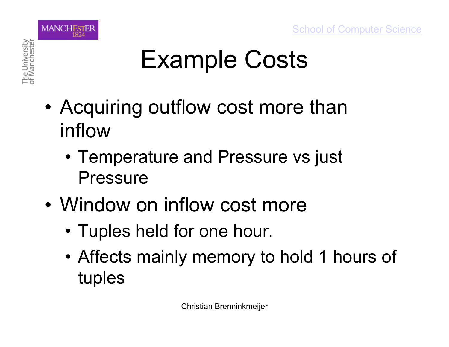

## Example Costs

- Acquiring outflow cost more than inflow
	- Temperature and Pressure vs just Pressure
- Window on inflow cost more
	- Tuples held for one hour.
	- Affects mainly memory to hold 1 hours of tuples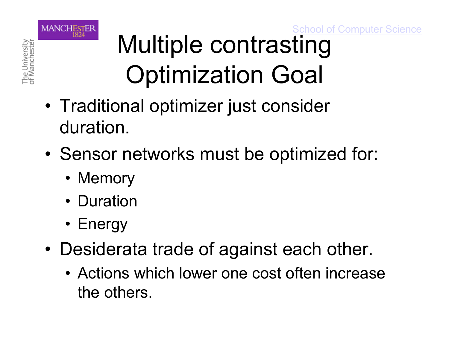School of Computer Science



## Multiple contrasting Optimization Goal

- Traditional optimizer just consider duration.
- Sensor networks must be optimized for:
	- Memory
	- Duration
	- Energy
- Desiderata trade of against each other.
	- Actions which lower one cost often increase the others.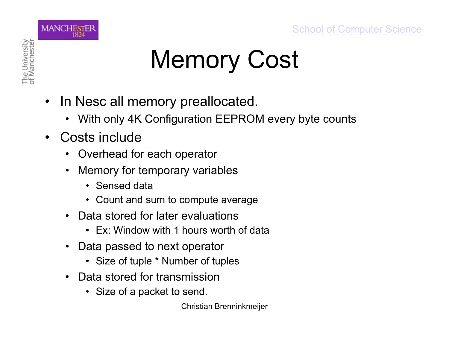

## Memory Cost

- In Nesc all memory preallocated.
	- With only 4K Configuration EEPROM every byte counts
- Costs include
	- Overhead for each operator
	- Memory for temporary variables
		- Sensed data
		- Count and sum to compute average
	- Data stored for later evaluations
		- Ex: Window with 1 hours worth of data
	- Data passed to next operator
		- Size of tuple \* Number of tuples
	- Data stored for transmission
		- Size of a packet to send.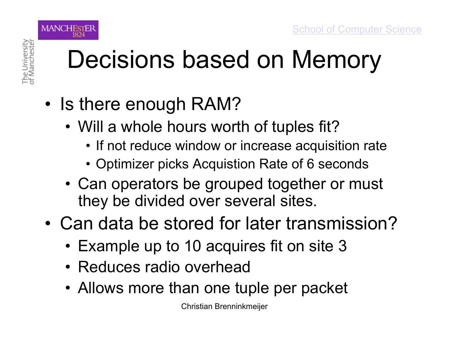

## Decisions based on Memory

- Is there enough RAM?
	- Will a whole hours worth of tuples fit?
		- If not reduce window or increase acquisition rate
		- Optimizer picks Acquistion Rate of 6 seconds
	- Can operators be grouped together or must they be divided over several sites.
- Can data be stored for later transmission?
	- Example up to 10 acquires fit on site 3
	- Reduces radio overhead
	- Allows more than one tuple per packet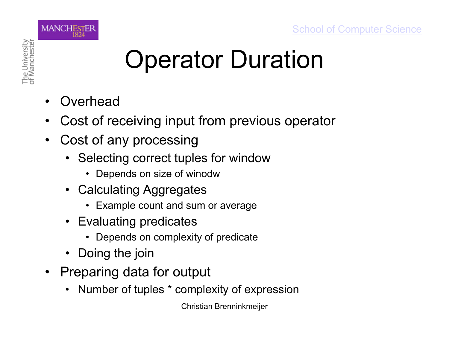

## Operator Duration

- **Overhead**
- Cost of receiving input from previous operator
- Cost of any processing
	- Selecting correct tuples for window
		- Depends on size of winodw
	- Calculating Aggregates
		- Example count and sum or average
	- Evaluating predicates
		- Depends on complexity of predicate
	- **Doing the join**
- Preparing data for output
	- Number of tuples \* complexity of expression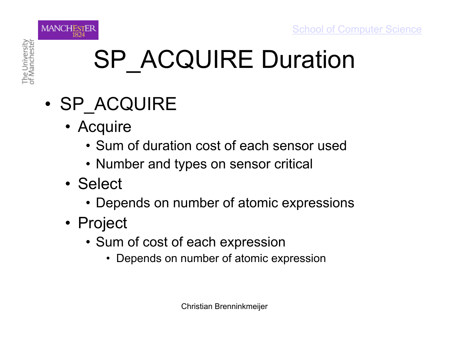

## SP\_ACQUIRE Duration

- SP\_ACQUIRE
	- Acquire
		- Sum of duration cost of each sensor used
		- Number and types on sensor critical
	- Select
		- Depends on number of atomic expressions
	- Project
		- Sum of cost of each expression
			- Depends on number of atomic expression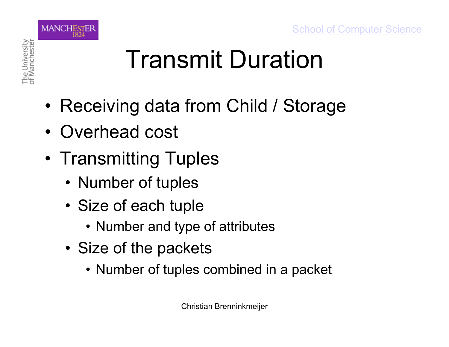

## Transmit Duration

- Receiving data from Child / Storage
- Overhead cost
- Transmitting Tuples
	- Number of tuples
	- Size of each tuple
		- Number and type of attributes
	- Size of the packets
		- Number of tuples combined in a packet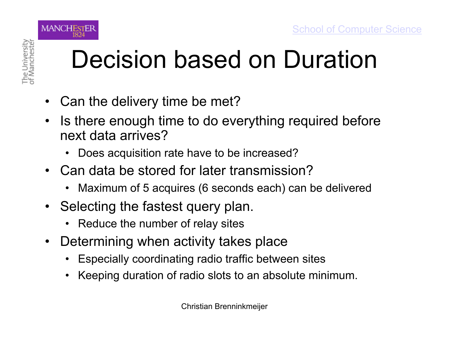**MANCHESTER** 

## Decision based on Duration

- Can the delivery time be met?
- Is there enough time to do everything required before next data arrives?
	- Does acquisition rate have to be increased?
- Can data be stored for later transmission?
	- Maximum of 5 acquires (6 seconds each) can be delivered
- Selecting the fastest query plan.
	- Reduce the number of relay sites
- Determining when activity takes place
	- Especially coordinating radio traffic between sites
	- Keeping duration of radio slots to an absolute minimum.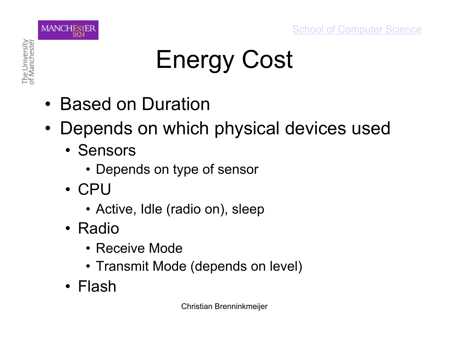

# Energy Cost

- Based on Duration
- Depends on which physical devices used
	- Sensors
		- Depends on type of sensor
	- CPU
		- Active, Idle (radio on), sleep
	- Radio
		- Receive Mode
		- Transmit Mode (depends on level)
	- Flash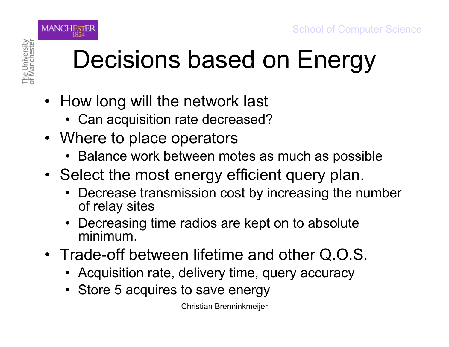

## Decisions based on Energy

- How long will the network last
	- Can acquisition rate decreased?
- Where to place operators
	- Balance work between motes as much as possible
- Select the most energy efficient query plan.
	- Decrease transmission cost by increasing the number of relay sites
	- Decreasing time radios are kept on to absolute minimum.
- Trade-off between lifetime and other Q.O.S.
	- Acquisition rate, delivery time, query accuracy
	- Store 5 acquires to save energy